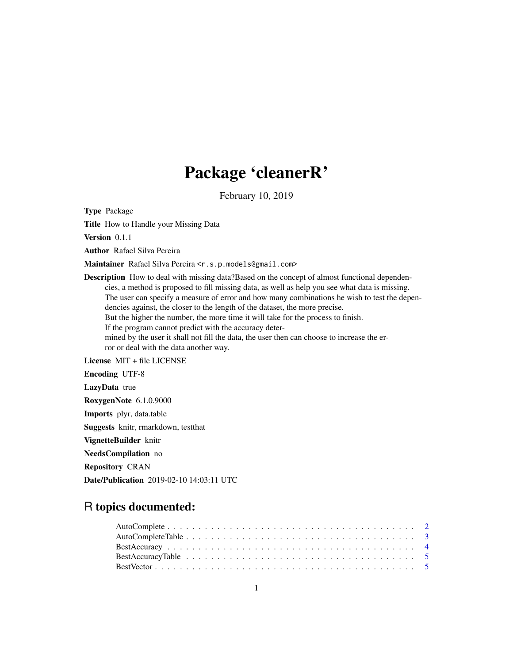# Package 'cleanerR'

February 10, 2019

Type Package

Title How to Handle your Missing Data

Version 0.1.1

Author Rafael Silva Pereira

Maintainer Rafael Silva Pereira <r.s.p.models@gmail.com>

Description How to deal with missing data?Based on the concept of almost functional dependencies, a method is proposed to fill missing data, as well as help you see what data is missing. The user can specify a measure of error and how many combinations he wish to test the dependencies against, the closer to the length of the dataset, the more precise. But the higher the number, the more time it will take for the process to finish. If the program cannot predict with the accuracy determined by the user it shall not fill the data, the user then can choose to increase the error or deal with the data another way. License MIT + file LICENSE

Encoding UTF-8

LazyData true

RoxygenNote 6.1.0.9000

Imports plyr, data.table

Suggests knitr, rmarkdown, testthat

VignetteBuilder knitr

NeedsCompilation no

Repository CRAN

Date/Publication 2019-02-10 14:03:11 UTC

# R topics documented: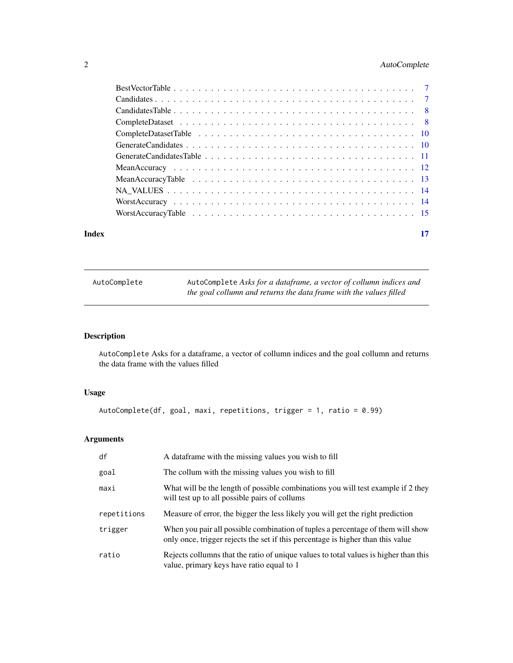# <span id="page-1-0"></span>2 AutoComplete

|       | Worst Accuracy Table $\ldots \ldots \ldots \ldots \ldots \ldots \ldots \ldots \ldots \ldots \ldots \ldots$ |    |
|-------|------------------------------------------------------------------------------------------------------------|----|
| Index |                                                                                                            | 17 |
|       |                                                                                                            |    |

AutoComplete AutoComplete *Asks for a dataframe, a vector of collumn indices and the goal collumn and returns the data frame with the values filled*

# Description

AutoComplete Asks for a dataframe, a vector of collumn indices and the goal collumn and returns the data frame with the values filled

# Usage

```
AutoComplete(df, goal, maxi, repetitions, trigger = 1, ratio = 0.99)
```

| df          | A data frame with the missing values you wish to fill                                                                                                              |
|-------------|--------------------------------------------------------------------------------------------------------------------------------------------------------------------|
| goal        | The collum with the missing values you wish to fill                                                                                                                |
| maxi        | What will be the length of possible combinations you will test example if 2 they<br>will test up to all possible pairs of collums                                  |
| repetitions | Measure of error, the bigger the less likely you will get the right prediction                                                                                     |
| trigger     | When you pair all possible combination of tuples a percentage of them will show<br>only once, trigger rejects the set if this percentage is higher than this value |
| ratio       | Rejects collumns that the ratio of unique values to total values is higher than this<br>value, primary keys have ratio equal to 1                                  |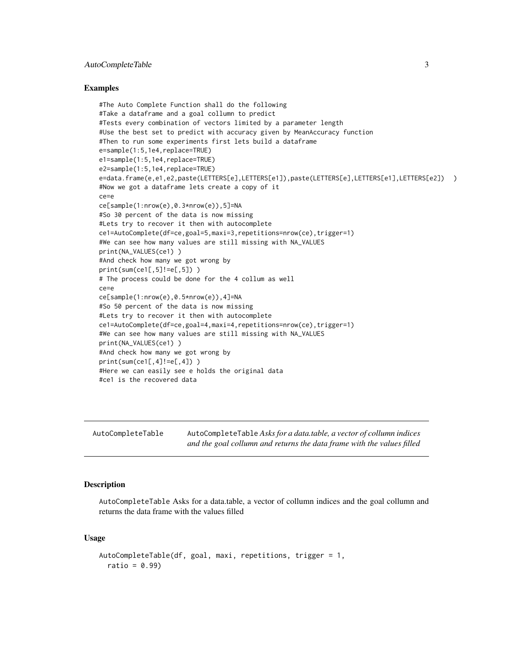# <span id="page-2-0"></span>AutoCompleteTable 3

#### Examples

```
#The Auto Complete Function shall do the following
#Take a dataframe and a goal collumn to predict
#Tests every combination of vectors limited by a parameter length
#Use the best set to predict with accuracy given by MeanAccuracy function
#Then to run some experiments first lets build a dataframe
e=sample(1:5,1e4,replace=TRUE)
e1=sample(1:5,1e4,replace=TRUE)
e2=sample(1:5,1e4,replace=TRUE)
e=data.frame(e,e1,e2,paste(LETTERS[e],LETTERS[e1]),paste(LETTERS[e],LETTERS[e1],LETTERS[e2]) )
#Now we got a dataframe lets create a copy of it
ce=e
ce[sample(1:nrow(e),0.3*nrow(e)),5]=NA
#So 30 percent of the data is now missing
#Lets try to recover it then with autocomplete
ce1=AutoComplete(df=ce,goal=5,maxi=3,repetitions=nrow(ce),trigger=1)
#We can see how many values are still missing with NA_VALUES
print(NA_VALUES(ce1) )
#And check how many we got wrong by
print(sum(cel[, 5] !=e[, 5]))
# The process could be done for the 4 collum as well
ce=e
ce[sample(1:nrow(e),0.5*nrow(e)),4]=NA
#So 50 percent of the data is now missing
#Lets try to recover it then with autocomplete
ce1=AutoComplete(df=ce,goal=4,maxi=4,repetitions=nrow(ce),trigger=1)
#We can see how many values are still missing with NA_VALUES
print(NA_VALUES(ce1) )
#And check how many we got wrong by
print(sum(cel[, 4] != e[, 4]))
#Here we can easily see e holds the original data
#ce1 is the recovered data
```

| AutoCompleteTable | AutoCompleteTable Asks for a data.table, a vector of collumn indices   |
|-------------------|------------------------------------------------------------------------|
|                   | and the goal collumn and returns the data frame with the values filled |

#### Description

AutoCompleteTable Asks for a data.table, a vector of collumn indices and the goal collumn and returns the data frame with the values filled

```
AutoCompleteTable(df, goal, maxi, repetitions, trigger = 1,
  ratio = 0.99)
```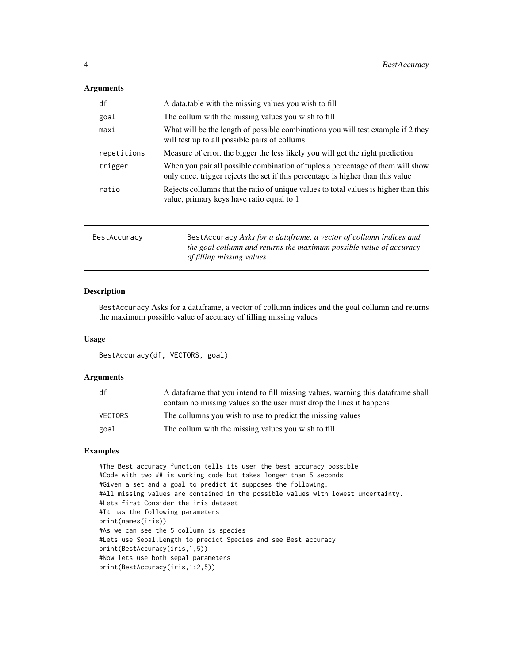<span id="page-3-0"></span>

| df          | A data table with the missing values you wish to fill                                                                                                              |
|-------------|--------------------------------------------------------------------------------------------------------------------------------------------------------------------|
| goal        | The collum with the missing values you wish to fill                                                                                                                |
| maxi        | What will be the length of possible combinations you will test example if 2 they<br>will test up to all possible pairs of collums                                  |
| repetitions | Measure of error, the bigger the less likely you will get the right prediction                                                                                     |
| trigger     | When you pair all possible combination of tuples a percentage of them will show<br>only once, trigger rejects the set if this percentage is higher than this value |
| ratio       | Rejects collumns that the ratio of unique values to total values is higher than this<br>value, primary keys have ratio equal to 1                                  |
|             |                                                                                                                                                                    |

| BestAccuracy | BestAccuracy Asks for a dataframe, a vector of collumn indices and  |
|--------------|---------------------------------------------------------------------|
|              | the goal collumn and returns the maximum possible value of accuracy |
|              | of filling missing values                                           |

# Description

BestAccuracy Asks for a dataframe, a vector of collumn indices and the goal collumn and returns the maximum possible value of accuracy of filling missing values

# Usage

```
BestAccuracy(df, VECTORS, goal)
```
# Arguments

| df             | A data frame that you intend to fill missing values, warning this data frame shall |
|----------------|------------------------------------------------------------------------------------|
|                | contain no missing values so the user must drop the lines it happens               |
| <b>VECTORS</b> | The collumns you wish to use to predict the missing values                         |
| goal           | The collum with the missing values you wish to fill                                |

# Examples

#The Best accuracy function tells its user the best accuracy possible. #Code with two ## is working code but takes longer than 5 seconds #Given a set and a goal to predict it supposes the following. #All missing values are contained in the possible values with lowest uncertainty. #Lets first Consider the iris dataset #It has the following parameters print(names(iris)) #As we can see the 5 collumn is species #Lets use Sepal.Length to predict Species and see Best accuracy print(BestAccuracy(iris,1,5)) #Now lets use both sepal parameters print(BestAccuracy(iris,1:2,5))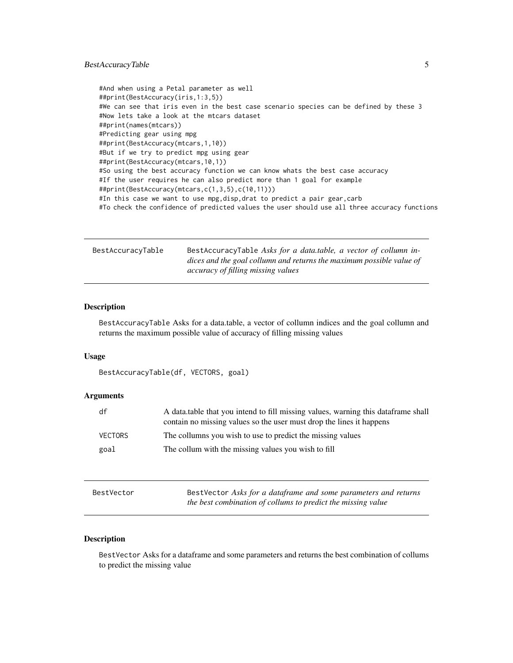# <span id="page-4-0"></span>BestAccuracyTable 5

```
#And when using a Petal parameter as well
##print(BestAccuracy(iris,1:3,5))
#We can see that iris even in the best case scenario species can be defined by these 3
#Now lets take a look at the mtcars dataset
##print(names(mtcars))
#Predicting gear using mpg
##print(BestAccuracy(mtcars,1,10))
#But if we try to predict mpg using gear
##print(BestAccuracy(mtcars,10,1))
#So using the best accuracy function we can know whats the best case accuracy
#If the user requires he can also predict more than 1 goal for example
##print(BestAccuracy(mtcars,c(1,3,5),c(10,11)))
#In this case we want to use mpg, disp, drat to predict a pair gear, carb
#To check the confidence of predicted values the user should use all three accuracy functions
```

| BestAccuracyTable | BestAccuracyTable Asks for a data.table, a vector of collumn in-     |
|-------------------|----------------------------------------------------------------------|
|                   | dices and the goal collumn and returns the maximum possible value of |
|                   | accuracy of filling missing values                                   |

## Description

BestAccuracyTable Asks for a data.table, a vector of collumn indices and the goal collumn and returns the maximum possible value of accuracy of filling missing values

#### Usage

BestAccuracyTable(df, VECTORS, goal)

# Arguments

| df             | A data table that you intend to fill missing values, warning this data frame shall<br>contain no missing values so the user must drop the lines it happens |
|----------------|------------------------------------------------------------------------------------------------------------------------------------------------------------|
| <b>VECTORS</b> | The collumns you wish to use to predict the missing values                                                                                                 |
| goal           | The collum with the missing values you wish to fill                                                                                                        |

| BestVector | BestVector Asks for a dataframe and some parameters and returns |
|------------|-----------------------------------------------------------------|
|            | the best combination of collums to predict the missing value    |

# Description

BestVector Asks for a dataframe and some parameters and returns the best combination of collums to predict the missing value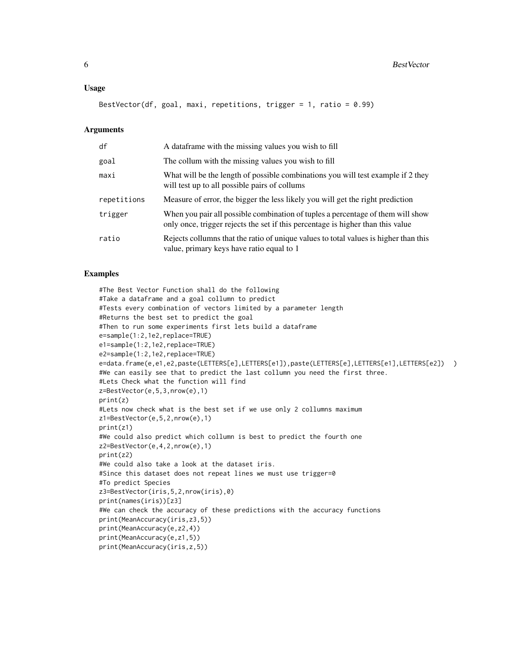#### Usage

BestVector(df, goal, maxi, repetitions, trigger = 1, ratio = 0.99)

#### Arguments

| df          | A dataframe with the missing values you wish to fill                                                                                                               |
|-------------|--------------------------------------------------------------------------------------------------------------------------------------------------------------------|
| goal        | The collum with the missing values you wish to fill                                                                                                                |
| maxi        | What will be the length of possible combinations you will test example if 2 they<br>will test up to all possible pairs of collums                                  |
| repetitions | Measure of error, the bigger the less likely you will get the right prediction                                                                                     |
| trigger     | When you pair all possible combination of tuples a percentage of them will show<br>only once, trigger rejects the set if this percentage is higher than this value |
| ratio       | Rejects collumns that the ratio of unique values to total values is higher than this<br>value, primary keys have ratio equal to 1                                  |

#### Examples

```
#The Best Vector Function shall do the following
#Take a dataframe and a goal collumn to predict
#Tests every combination of vectors limited by a parameter length
#Returns the best set to predict the goal
#Then to run some experiments first lets build a dataframe
e=sample(1:2,1e2,replace=TRUE)
e1=sample(1:2,1e2,replace=TRUE)
e2=sample(1:2,1e2,replace=TRUE)
e=data.frame(e,e1,e2,paste(LETTERS[e],LETTERS[e1]),paste(LETTERS[e],LETTERS[e1],LETTERS[e2]) )
#We can easily see that to predict the last collumn you need the first three.
#Lets Check what the function will find
z=BestVector(e,5,3,nrow(e),1)
print(z)
#Lets now check what is the best set if we use only 2 collumns maximum
z1=BestVector(e,5,2,nrow(e),1)
print(z1)
#We could also predict which collumn is best to predict the fourth one
z2=BestVector(e,4,2,nrow(e),1)
print(z2)
#We could also take a look at the dataset iris.
#Since this dataset does not repeat lines we must use trigger=0
#To predict Species
z3=BestVector(iris,5,2,nrow(iris),0)
print(names(iris))[z3]
#We can check the accuracy of these predictions with the accuracy functions
print(MeanAccuracy(iris,z3,5))
print(MeanAccuracy(e,z2,4))
print(MeanAccuracy(e,z1,5))
print(MeanAccuracy(iris,z,5))
```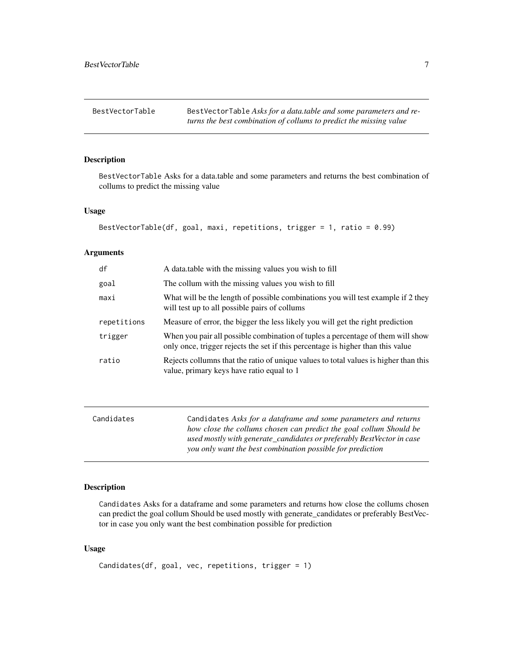<span id="page-6-0"></span>BestVectorTable BestVectorTable Asks for a data.table and some parameters and re*turns the best combination of collums to predict the missing value*

# Description

BestVectorTable Asks for a data.table and some parameters and returns the best combination of collums to predict the missing value

# Usage

```
BestVectorTable(df, goal, maxi, repetitions, trigger = 1, ratio = 0.99)
```
### Arguments

| df          | A data table with the missing values you wish to fill                                                                                                              |
|-------------|--------------------------------------------------------------------------------------------------------------------------------------------------------------------|
| goal        | The collum with the missing values you wish to fill                                                                                                                |
| maxi        | What will be the length of possible combinations you will test example if 2 they<br>will test up to all possible pairs of collums                                  |
| repetitions | Measure of error, the bigger the less likely you will get the right prediction                                                                                     |
| trigger     | When you pair all possible combination of tuples a percentage of them will show<br>only once, trigger rejects the set if this percentage is higher than this value |
| ratio       | Rejects collumns that the ratio of unique values to total values is higher than this<br>value, primary keys have ratio equal to 1                                  |

| Candidates | Candidates Asks for a dataframe and some parameters and returns       |
|------------|-----------------------------------------------------------------------|
|            | how close the collums chosen can predict the goal collum Should be    |
|            | used mostly with generate_candidates or preferably BestVector in case |
|            | you only want the best combination possible for prediction            |
|            |                                                                       |

# Description

Candidates Asks for a dataframe and some parameters and returns how close the collums chosen can predict the goal collum Should be used mostly with generate\_candidates or preferably BestVector in case you only want the best combination possible for prediction

```
Candidates(df, goal, vec, repetitions, trigger = 1)
```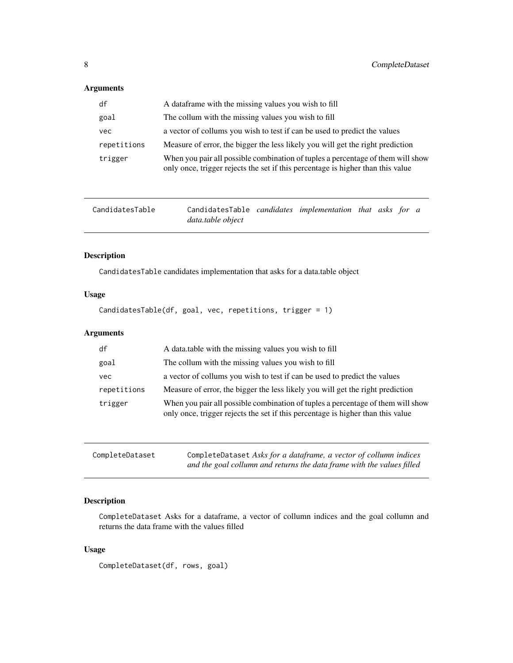<span id="page-7-0"></span>

| df          | A data frame with the missing values you wish to fill                                                                                                              |
|-------------|--------------------------------------------------------------------------------------------------------------------------------------------------------------------|
| goal        | The collum with the missing values you wish to fill                                                                                                                |
| vec         | a vector of collums you wish to test if can be used to predict the values                                                                                          |
| repetitions | Measure of error, the bigger the less likely you will get the right prediction                                                                                     |
| trigger     | When you pair all possible combination of tuples a percentage of them will show<br>only once, trigger rejects the set if this percentage is higher than this value |

| CandidatesTable | CandidatesTable candidates implementation that asks for a |  |  |  |
|-----------------|-----------------------------------------------------------|--|--|--|
|                 | data.table object                                         |  |  |  |

# Description

CandidatesTable candidates implementation that asks for a data.table object

# Usage

CandidatesTable(df, goal, vec, repetitions, trigger = 1)

# Arguments

| df          | A data table with the missing values you wish to fill                                                                                                              |
|-------------|--------------------------------------------------------------------------------------------------------------------------------------------------------------------|
| goal        | The collum with the missing values you wish to fill                                                                                                                |
| vec         | a vector of collums you wish to test if can be used to predict the values                                                                                          |
| repetitions | Measure of error, the bigger the less likely you will get the right prediction                                                                                     |
| trigger     | When you pair all possible combination of tuples a percentage of them will show<br>only once, trigger rejects the set if this percentage is higher than this value |

| CompleteDataset | CompleteDataset Asks for a dataframe, a vector of collumn indices      |
|-----------------|------------------------------------------------------------------------|
|                 | and the goal collumn and returns the data frame with the values filled |

# Description

CompleteDataset Asks for a dataframe, a vector of collumn indices and the goal collumn and returns the data frame with the values filled

# Usage

CompleteDataset(df, rows, goal)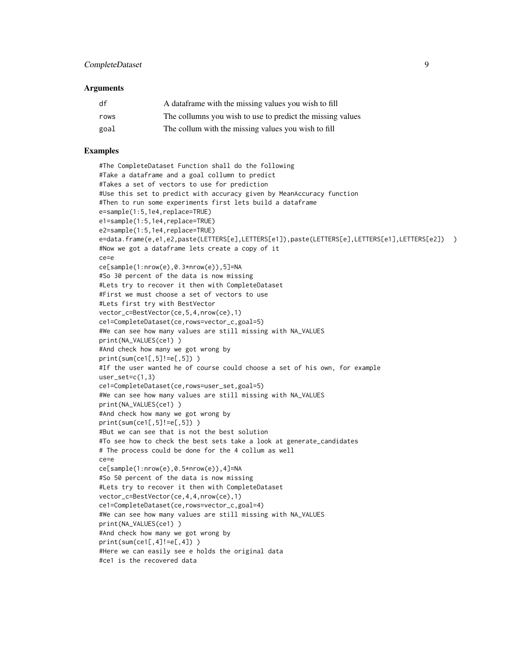| df   | A data frame with the missing values you wish to fill      |
|------|------------------------------------------------------------|
| rows | The collumns you wish to use to predict the missing values |
| goal | The collum with the missing values you wish to fill        |

# Examples

#The CompleteDataset Function shall do the following #Take a dataframe and a goal collumn to predict #Takes a set of vectors to use for prediction #Use this set to predict with accuracy given by MeanAccuracy function #Then to run some experiments first lets build a dataframe e=sample(1:5,1e4,replace=TRUE) e1=sample(1:5,1e4,replace=TRUE) e2=sample(1:5,1e4,replace=TRUE) e=data.frame(e,e1,e2,paste(LETTERS[e],LETTERS[e1]),paste(LETTERS[e],LETTERS[e1],LETTERS[e2]) ) #Now we got a dataframe lets create a copy of it ce=e ce[sample(1:nrow(e),0.3\*nrow(e)),5]=NA #So 30 percent of the data is now missing #Lets try to recover it then with CompleteDataset #First we must choose a set of vectors to use #Lets first try with BestVector vector\_c=BestVector(ce,5,4,nrow(ce),1) ce1=CompleteDataset(ce,rows=vector\_c,goal=5) #We can see how many values are still missing with NA\_VALUES print(NA\_VALUES(ce1) ) #And check how many we got wrong by print(sum(ce1[,5]!=e[,5]) ) #If the user wanted he of course could choose a set of his own, for example user\_set=c(1,3) ce1=CompleteDataset(ce,rows=user\_set,goal=5) #We can see how many values are still missing with NA\_VALUES print(NA\_VALUES(ce1) ) #And check how many we got wrong by print(sum(ce1[,5]!=e[,5]) ) #But we can see that is not the best solution #To see how to check the best sets take a look at generate\_candidates # The process could be done for the 4 collum as well ce=e ce[sample(1:nrow(e),0.5\*nrow(e)),4]=NA #So 50 percent of the data is now missing #Lets try to recover it then with CompleteDataset vector\_c=BestVector(ce,4,4,nrow(ce),1) ce1=CompleteDataset(ce,rows=vector\_c,goal=4) #We can see how many values are still missing with NA\_VALUES print(NA\_VALUES(ce1) ) #And check how many we got wrong by print(sum(ce1[,4]!=e[,4]) ) #Here we can easily see e holds the original data #ce1 is the recovered data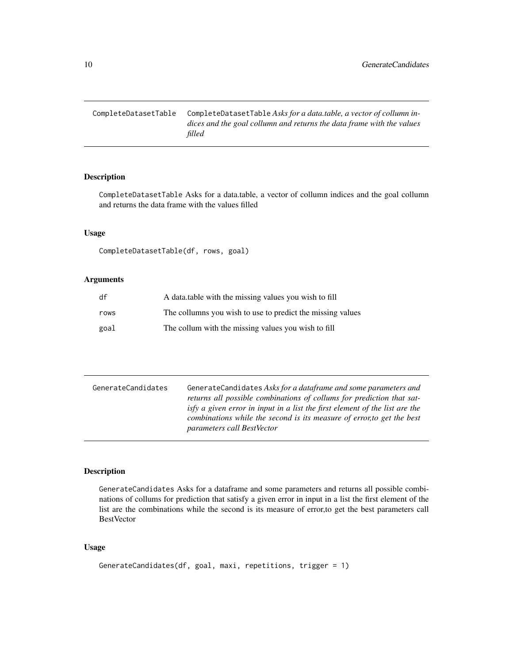<span id="page-9-0"></span>CompleteDatasetTable CompleteDatasetTable *Asks for a data.table, a vector of collumn indices and the goal collumn and returns the data frame with the values filled*

# Description

CompleteDatasetTable Asks for a data.table, a vector of collumn indices and the goal collumn and returns the data frame with the values filled

# Usage

```
CompleteDatasetTable(df, rows, goal)
```
# Arguments

| df   | A data table with the missing values you wish to fill      |
|------|------------------------------------------------------------|
| rows | The collumns you wish to use to predict the missing values |
| goal | The collum with the missing values you wish to fill        |

| GenerateCandidates | GenerateCandidates Asks for a dataframe and some parameters and             |
|--------------------|-----------------------------------------------------------------------------|
|                    | returns all possible combinations of collums for prediction that sat-       |
|                    | isty a given error in input in a list the first element of the list are the |
|                    | combinations while the second is its measure of error, to get the best      |
|                    | <i>parameters call BestVector</i>                                           |

# Description

GenerateCandidates Asks for a dataframe and some parameters and returns all possible combinations of collums for prediction that satisfy a given error in input in a list the first element of the list are the combinations while the second is its measure of error,to get the best parameters call BestVector

```
GenerateCandidates(df, goal, maxi, repetitions, trigger = 1)
```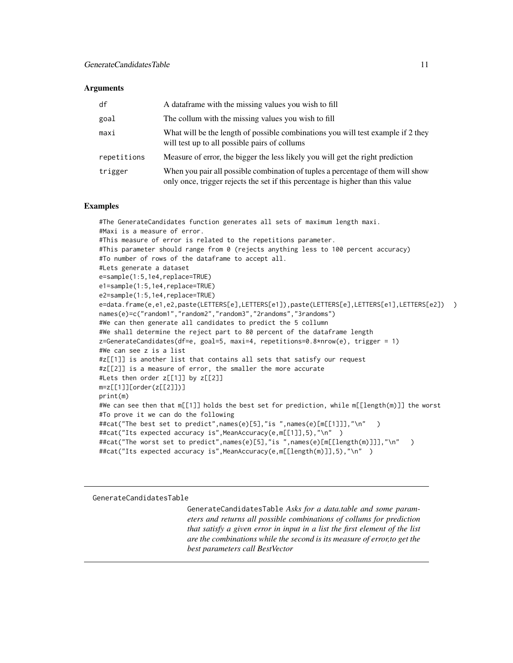<span id="page-10-0"></span>

| df          | A data frame with the missing values you wish to fill                                                                                                              |
|-------------|--------------------------------------------------------------------------------------------------------------------------------------------------------------------|
| goal        | The collum with the missing values you wish to fill                                                                                                                |
| maxi        | What will be the length of possible combinations you will test example if 2 they<br>will test up to all possible pairs of collums                                  |
| repetitions | Measure of error, the bigger the less likely you will get the right prediction                                                                                     |
| trigger     | When you pair all possible combination of tuples a percentage of them will show<br>only once, trigger rejects the set if this percentage is higher than this value |

#### Examples

#The GenerateCandidates function generates all sets of maximum length maxi. #Maxi is a measure of error. #This measure of error is related to the repetitions parameter. #This parameter should range from 0 (rejects anything less to 100 percent accuracy) #To number of rows of the dataframe to accept all. #Lets generate a dataset e=sample(1:5,1e4,replace=TRUE) e1=sample(1:5,1e4,replace=TRUE) e2=sample(1:5,1e4,replace=TRUE) e=data.frame(e,e1,e2,paste(LETTERS[e],LETTERS[e1]),paste(LETTERS[e],LETTERS[e1],LETTERS[e2]) ) names(e)=c("random1","random2","random3","2randoms","3randoms") #We can then generate all candidates to predict the 5 collumn #We shall determine the reject part to 80 percent of the dataframe length z=GenerateCandidates(df=e, goal=5, maxi=4, repetitions=0.8\*nrow(e), trigger = 1) #We can see z is a list #z[[1]] is another list that contains all sets that satisfy our request #z[[2]] is a measure of error, the smaller the more accurate #Lets then order z[[1]] by z[[2]] m=z[[1]][order(z[[2]])] print(m) #We can see then that m[[1]] holds the best set for prediction, while m[[length(m)]] the worst #To prove it we can do the following ##cat("The best set to predict",names(e)[5],"is ",names(e)[m[[1]]],"\n" ) ##cat("Its expected accuracy is", MeanAccuracy(e, m[[1]], 5), "\n" ) ##cat("The worst set to predict",names(e)[5],"is ",names(e)[m[[length(m)]]],"\n" ) ##cat("Its expected accuracy is",MeanAccuracy(e,m[[length(m)]],5),"\n" )

GenerateCandidatesTable

GenerateCandidatesTable *Asks for a data.table and some parameters and returns all possible combinations of collums for prediction that satisfy a given error in input in a list the first element of the list are the combinations while the second is its measure of error,to get the best parameters call BestVector*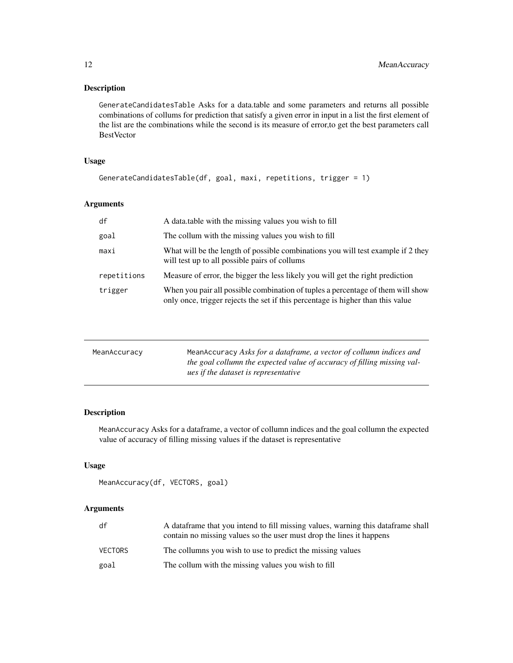# <span id="page-11-0"></span>Description

GenerateCandidatesTable Asks for a data.table and some parameters and returns all possible combinations of collums for prediction that satisfy a given error in input in a list the first element of the list are the combinations while the second is its measure of error,to get the best parameters call BestVector

# Usage

```
GenerateCandidatesTable(df, goal, maxi, repetitions, trigger = 1)
```
# Arguments

| df          | A data table with the missing values you wish to fill                                                                                                              |
|-------------|--------------------------------------------------------------------------------------------------------------------------------------------------------------------|
| goal        | The collum with the missing values you wish to fill                                                                                                                |
| maxi        | What will be the length of possible combinations you will test example if 2 they<br>will test up to all possible pairs of collums                                  |
| repetitions | Measure of error, the bigger the less likely you will get the right prediction                                                                                     |
| trigger     | When you pair all possible combination of tuples a percentage of them will show<br>only once, trigger rejects the set if this percentage is higher than this value |

| MeanAccuracy | MeanAccuracy Asks for a dataframe, a vector of collumn indices and<br>the goal collumn the expected value of accuracy of filling missing val-<br>ues if the dataset is representative |
|--------------|---------------------------------------------------------------------------------------------------------------------------------------------------------------------------------------|
|              |                                                                                                                                                                                       |

# Description

MeanAccuracy Asks for a dataframe, a vector of collumn indices and the goal collumn the expected value of accuracy of filling missing values if the dataset is representative

# Usage

```
MeanAccuracy(df, VECTORS, goal)
```

| df      | A data frame that you intend to fill missing values, warning this data frame shall<br>contain no missing values so the user must drop the lines it happens |
|---------|------------------------------------------------------------------------------------------------------------------------------------------------------------|
| VECTORS | The collumns you wish to use to predict the missing values                                                                                                 |
| goal    | The collum with the missing values you wish to fill                                                                                                        |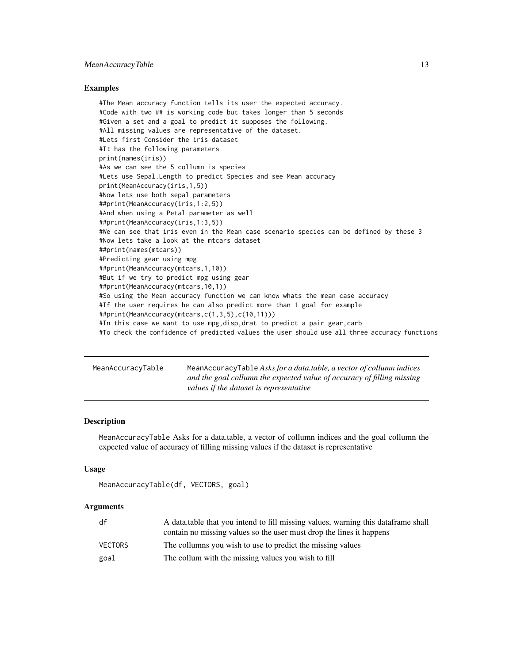# <span id="page-12-0"></span>MeanAccuracyTable 13

#### Examples

#The Mean accuracy function tells its user the expected accuracy. #Code with two ## is working code but takes longer than 5 seconds #Given a set and a goal to predict it supposes the following. #All missing values are representative of the dataset. #Lets first Consider the iris dataset #It has the following parameters print(names(iris)) #As we can see the 5 collumn is species #Lets use Sepal.Length to predict Species and see Mean accuracy print(MeanAccuracy(iris,1,5)) #Now lets use both sepal parameters ##print(MeanAccuracy(iris,1:2,5)) #And when using a Petal parameter as well ##print(MeanAccuracy(iris,1:3,5)) #We can see that iris even in the Mean case scenario species can be defined by these 3 #Now lets take a look at the mtcars dataset ##print(names(mtcars)) #Predicting gear using mpg ##print(MeanAccuracy(mtcars,1,10)) #But if we try to predict mpg using gear ##print(MeanAccuracy(mtcars,10,1)) #So using the Mean accuracy function we can know whats the mean case accuracy #If the user requires he can also predict more than 1 goal for example ##print(MeanAccuracy(mtcars,c(1,3,5),c(10,11))) #In this case we want to use mpg,disp,drat to predict a pair gear,carb #To check the confidence of predicted values the user should use all three accuracy functions

| MeanAccuracyTable | MeanAccuracyTable Asks for a data.table, a vector of collumn indices   |
|-------------------|------------------------------------------------------------------------|
|                   | and the goal collumn the expected value of accuracy of filling missing |
|                   | values if the dataset is representative                                |

#### **Description**

MeanAccuracyTable Asks for a data.table, a vector of collumn indices and the goal collumn the expected value of accuracy of filling missing values if the dataset is representative

#### Usage

```
MeanAccuracyTable(df, VECTORS, goal)
```

| df      | A data table that you intend to fill missing values, warning this data frame shall<br>contain no missing values so the user must drop the lines it happens |
|---------|------------------------------------------------------------------------------------------------------------------------------------------------------------|
| VECTORS | The collumns you wish to use to predict the missing values                                                                                                 |
| goal    | The collum with the missing values you wish to fill                                                                                                        |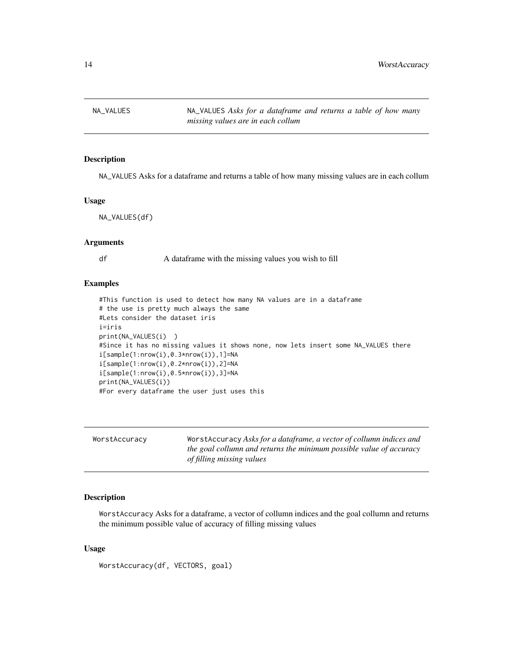<span id="page-13-0"></span>NA\_VALUES NA\_VALUES *Asks for a dataframe and returns a table of how many missing values are in each collum*

#### Description

NA\_VALUES Asks for a dataframe and returns a table of how many missing values are in each collum

#### Usage

NA\_VALUES(df)

# Arguments

df A dataframe with the missing values you wish to fill

#### Examples

```
#This function is used to detect how many NA values are in a dataframe
# the use is pretty much always the same
#Lets consider the dataset iris
i=iris
print(NA_VALUES(i) )
#Since it has no missing values it shows none, now lets insert some NA_VALUES there
i[sample(1:nrow(i),0.3*nrow(i)),1]=NA
i[sample(1:nrow(i),0.2*nrow(i)),2]=NA
i[sample(1:nrow(i),0.5*nrow(i)),3]=NA
print(NA_VALUES(i))
#For every dataframe the user just uses this
```

| WorstAccuracy | Worst Accuracy Asks for a dataframe, a vector of collumn indices and<br>the goal collumn and returns the minimum possible value of accuracy<br>of filling missing values |
|---------------|--------------------------------------------------------------------------------------------------------------------------------------------------------------------------|
|               |                                                                                                                                                                          |

# Description

WorstAccuracy Asks for a dataframe, a vector of collumn indices and the goal collumn and returns the minimum possible value of accuracy of filling missing values

```
WorstAccuracy(df, VECTORS, goal)
```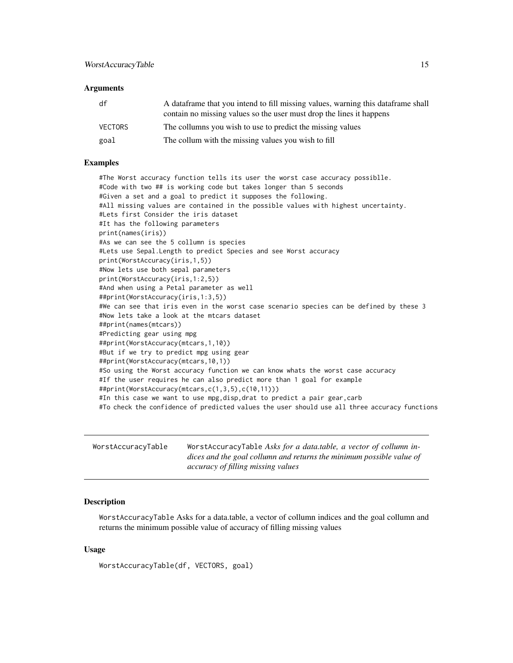<span id="page-14-0"></span>

| df      | A data frame that you intend to fill missing values, warning this data frame shall<br>contain no missing values so the user must drop the lines it happens |
|---------|------------------------------------------------------------------------------------------------------------------------------------------------------------|
| VECTORS | The collumns you wish to use to predict the missing values                                                                                                 |
| goal    | The collum with the missing values you wish to fill                                                                                                        |

## Examples

#The Worst accuracy function tells its user the worst case accuracy possiblle. #Code with two ## is working code but takes longer than 5 seconds #Given a set and a goal to predict it supposes the following. #All missing values are contained in the possible values with highest uncertainty. #Lets first Consider the iris dataset #It has the following parameters print(names(iris)) #As we can see the 5 collumn is species #Lets use Sepal.Length to predict Species and see Worst accuracy print(WorstAccuracy(iris,1,5)) #Now lets use both sepal parameters print(WorstAccuracy(iris,1:2,5)) #And when using a Petal parameter as well ##print(WorstAccuracy(iris,1:3,5)) #We can see that iris even in the worst case scenario species can be defined by these 3 #Now lets take a look at the mtcars dataset ##print(names(mtcars)) #Predicting gear using mpg ##print(WorstAccuracy(mtcars,1,10)) #But if we try to predict mpg using gear ##print(WorstAccuracy(mtcars,10,1)) #So using the Worst accuracy function we can know whats the worst case accuracy #If the user requires he can also predict more than 1 goal for example ##print(WorstAccuracy(mtcars,c(1,3,5),c(10,11))) #In this case we want to use mpg,disp,drat to predict a pair gear,carb #To check the confidence of predicted values the user should use all three accuracy functions

| WorstAccuracyTable | WorstAccuracyTable Asks for a data.table, a vector of collumn in-    |
|--------------------|----------------------------------------------------------------------|
|                    | dices and the goal collumn and returns the minimum possible value of |
|                    | accuracy of filling missing values                                   |

# Description

WorstAccuracyTable Asks for a data.table, a vector of collumn indices and the goal collumn and returns the minimum possible value of accuracy of filling missing values

#### Usage

WorstAccuracyTable(df, VECTORS, goal)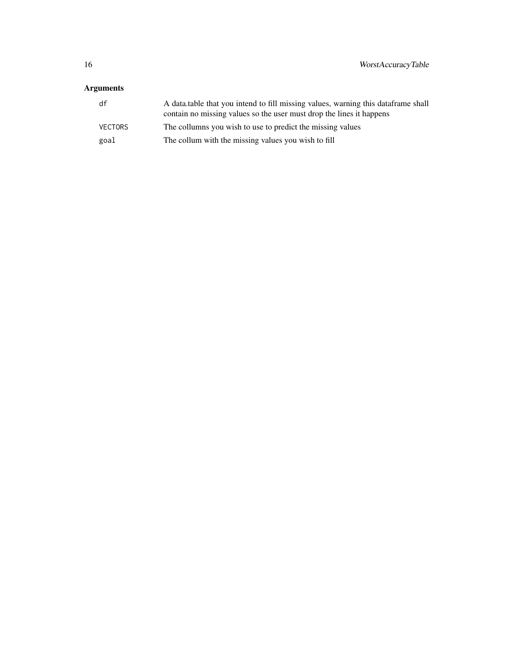| df      | A data table that you intend to fill missing values, warning this data frame shall<br>contain no missing values so the user must drop the lines it happens |
|---------|------------------------------------------------------------------------------------------------------------------------------------------------------------|
| VECTORS | The collumns you wish to use to predict the missing values                                                                                                 |
| goal    | The collum with the missing values you wish to fill                                                                                                        |